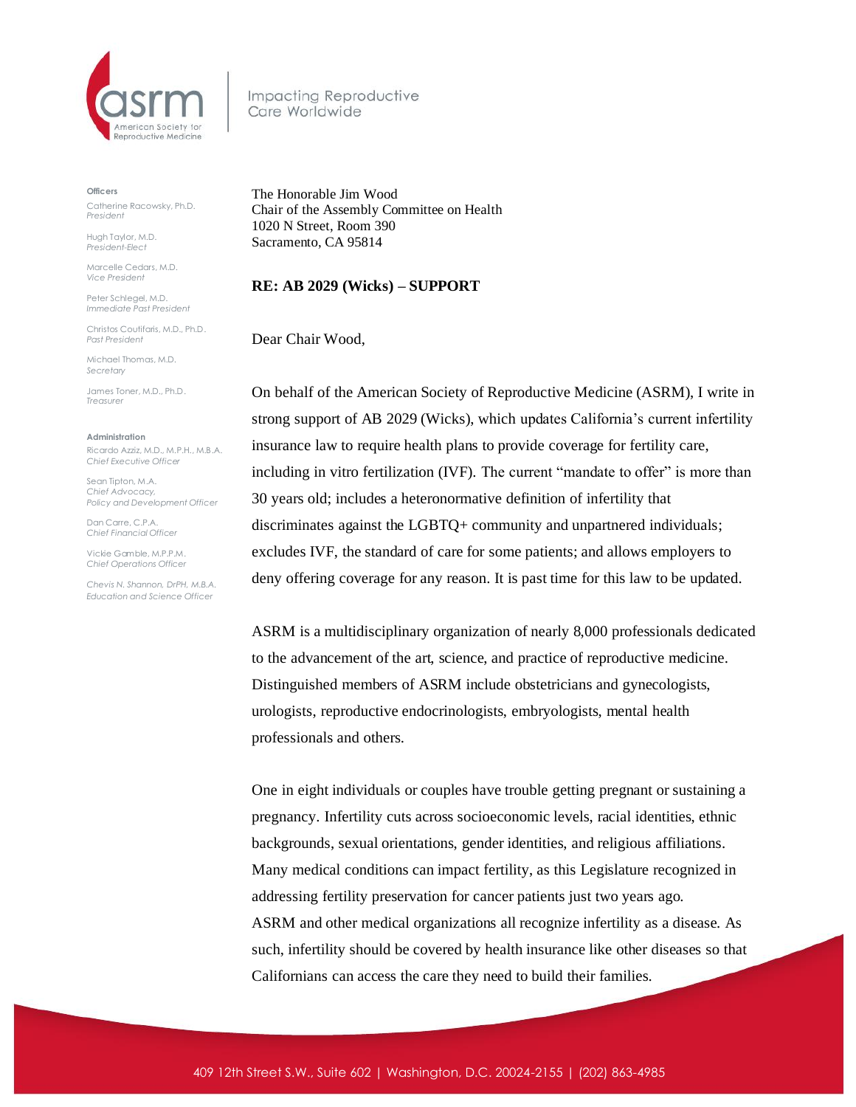

Impacting Reproductive Care Worldwide

**Officers** Catherine Racowsky, Ph.D. *President*

Hugh Taylor, M.D. *President-Elect*

Marcelle Cedars, M.D. *Vice President*

Peter Schlegel, M.D. *Immediate Past President*

Christos Coutifaris, M.D., Ph.D. *Past President*

Michael Thomas, M.D. *Secretary*

James Toner, M.D., Ph.D. *Treasurer* 

**Administration** Ricardo Azziz, M.D., M.P.H., M.B.A. *Chief Executive Officer*

Sean Tipton, M.A. *Chief Advocacy, Policy and Development Officer*

Dan Carre, C.P.A. *Chief Financial Officer*

Vickie Gamble, M.P.P.M. *Chief Operations Officer* 

*Chevis N. Shannon, DrPH, M.B.A. Education and Science Officer*

The Honorable Jim Wood Chair of the Assembly Committee on Health 1020 N Street, Room 390 Sacramento, CA 95814

## **RE: AB 2029 (Wicks) – SUPPORT**

Dear Chair Wood,

On behalf of the American Society of Reproductive Medicine (ASRM), I write in strong support of AB 2029 (Wicks), which updates California's current infertility insurance law to require health plans to provide coverage for fertility care, including in vitro fertilization (IVF). The current "mandate to offer" is more than 30 years old; includes a heteronormative definition of infertility that discriminates against the LGBTQ+ community and unpartnered individuals; excludes IVF, the standard of care for some patients; and allows employers to deny offering coverage for any reason. It is past time for this law to be updated.

ASRM is a multidisciplinary organization of nearly 8,000 professionals dedicated to the advancement of the art, science, and practice of reproductive medicine. Distinguished members of ASRM include obstetricians and gynecologists, urologists, reproductive endocrinologists, embryologists, mental health professionals and others.

One in eight individuals or couples have trouble getting pregnant or sustaining a pregnancy. Infertility cuts across socioeconomic levels, racial identities, ethnic backgrounds, sexual orientations, gender identities, and religious affiliations. Many medical conditions can impact fertility, as this Legislature recognized in addressing fertility preservation for cancer patients just two years ago. ASRM and other medical organizations all recognize infertility as a disease. As such, infertility should be covered by health insurance like other diseases so that Californians can access the care they need to build their families.